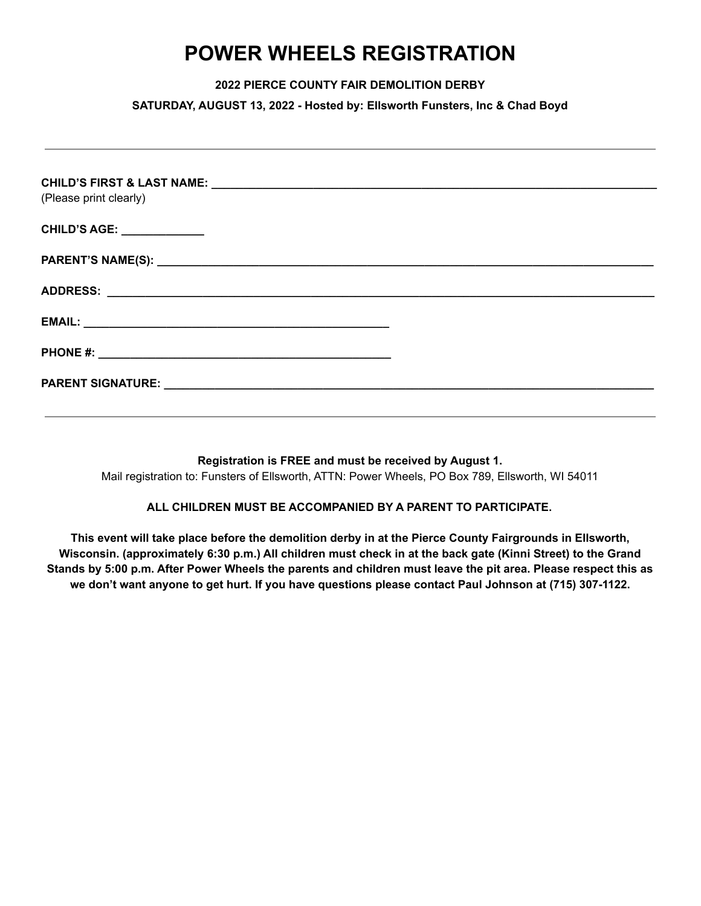## **POWER WHEELS REGISTRATION**

**2022 PIERCE COUNTY FAIR DEMOLITION DERBY**

**SATURDAY, AUGUST 13, 2022 - Hosted by: Ellsworth Funsters, Inc & Chad Boyd**

| (Please print clearly)            |  |
|-----------------------------------|--|
| <b>CHILD'S AGE: _____________</b> |  |
|                                   |  |
|                                   |  |
|                                   |  |
|                                   |  |
|                                   |  |
|                                   |  |

**Registration is FREE and must be received by August 1.** Mail registration to: Funsters of Ellsworth, ATTN: Power Wheels, PO Box 789, Ellsworth, WI 54011

## **ALL CHILDREN MUST BE ACCOMPANIED BY A PARENT TO PARTICIPATE.**

**This event will take place before the demolition derby in at the Pierce County Fairgrounds in Ellsworth,** Wisconsin. (approximately 6:30 p.m.) All children must check in at the back gate (Kinni Street) to the Grand Stands by 5:00 p.m. After Power Wheels the parents and children must leave the pit area. Please respect this as we don't want anyone to get hurt. If you have questions please contact Paul Johnson at (715) 307-1122.